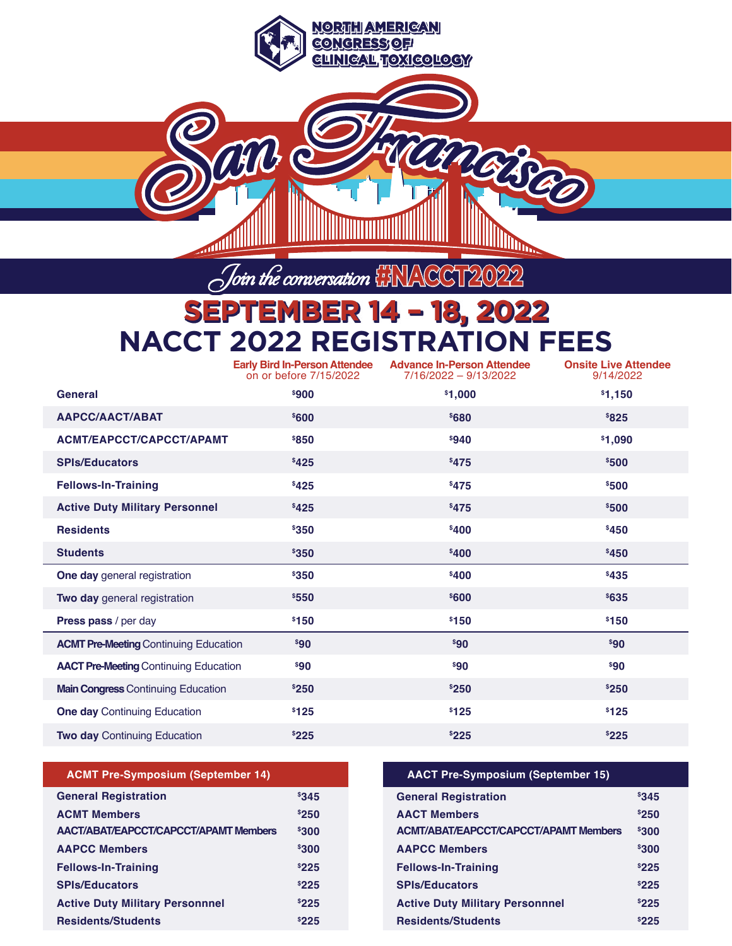**SEPTEMBER 14 – 18, 2022 NACCT 2022 REGISTRATION FEES**

Join the conversation **#NACCT2022** 

and e

**NORTH AMERICAN CONGRESS OF ONGRESS** 

**CLINICAL TRANSPORTATION** 

TERREDED

|                                              | <b>Early Bird In-Person Attendee</b><br>on or before 7/15/2022 | <b>Advance In-Person Attendee</b><br>7/16/2022 - 9/13/2022 | <b>Onsite Live Attendee</b><br>9/14/2022 |
|----------------------------------------------|----------------------------------------------------------------|------------------------------------------------------------|------------------------------------------|
| General                                      | \$900                                                          | \$1,000                                                    | \$1,150                                  |
| <b>AAPCC/AACT/ABAT</b>                       | \$600                                                          | \$680                                                      | \$825                                    |
| <b>ACMT/EAPCCT/CAPCCT/APAMT</b>              | \$850                                                          | \$940                                                      | \$1,090                                  |
| <b>SPIs/Educators</b>                        | \$425                                                          | \$475                                                      | \$500                                    |
| <b>Fellows-In-Training</b>                   | \$425                                                          | \$475                                                      | \$500                                    |
| <b>Active Duty Military Personnel</b>        | \$425                                                          | \$475                                                      | \$500                                    |
| <b>Residents</b>                             | \$350                                                          | \$400                                                      | \$450                                    |
| <b>Students</b>                              | \$350                                                          | \$400                                                      | \$450                                    |
| One day general registration                 | \$350                                                          | \$400                                                      | \$435                                    |
| Two day general registration                 | \$550                                                          | \$600                                                      | \$635                                    |
| Press pass / per day                         | \$150                                                          | \$150                                                      | \$150                                    |
| <b>ACMT Pre-Meeting Continuing Education</b> | \$90                                                           | \$90                                                       | \$90                                     |
| <b>AACT Pre-Meeting Continuing Education</b> | $^{\$}90$                                                      | \$90                                                       | \$90                                     |
| <b>Main Congress Continuing Education</b>    | \$250                                                          | \$250                                                      | \$250                                    |
| <b>One day Continuing Education</b>          | \$125                                                          | \$125                                                      | \$125                                    |
| <b>Two day Continuing Education</b>          | \$225                                                          | \$225                                                      | \$225                                    |

|  | <b>ACMT Pre-Symposium (September 14)</b> |  |  |  |
|--|------------------------------------------|--|--|--|
|--|------------------------------------------|--|--|--|

| <b>General Registration</b>                  | 8345         |
|----------------------------------------------|--------------|
| <b>ACMT Members</b>                          | \$250        |
| <b>AACT/ABAT/EAPCCT/CAPCCT/APAMT Members</b> | \$300        |
| <b>AAPCC Members</b>                         | \$300        |
| <b>Fellows-In-Training</b>                   | \$225        |
| <b>SPIs/Educators</b>                        | \$225        |
| <b>Active Duty Military Personnnel</b>       | \$225        |
| <b>Residents/Students</b>                    | <b>\$225</b> |

**AACT Pre-Symposium (September 15)**

| <b>General Registration</b>                  | <sup>\$</sup> 345 |
|----------------------------------------------|-------------------|
| <b>AACT Members</b>                          | \$250             |
| <b>ACMT/ABAT/EAPCCT/CAPCCT/APAMT Members</b> | \$300             |
| <b>AAPCC Members</b>                         | \$300             |
| <b>Fellows-In-Training</b>                   | \$225             |
| <b>SPIs/Educators</b>                        | \$225             |
| <b>Active Duty Military Personnnel</b>       | \$225             |
| <b>Residents/Students</b>                    | \$225             |